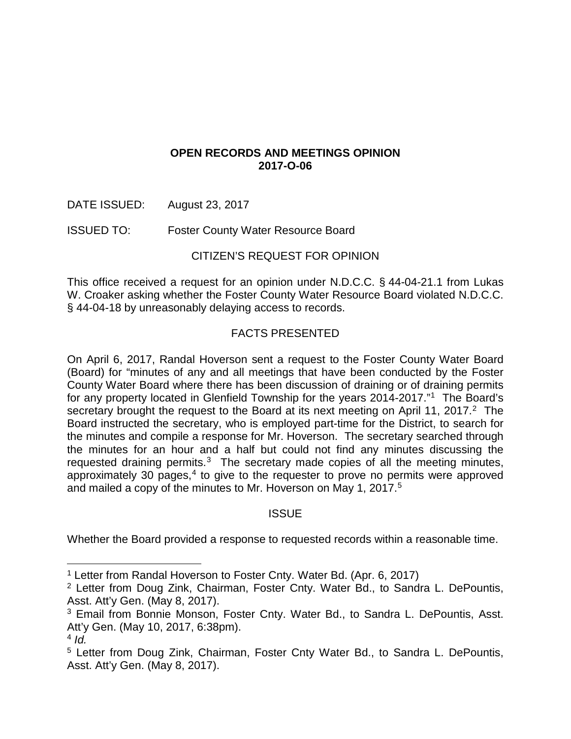# **OPEN RECORDS AND MEETINGS OPINION 2017-O-06**

DATE ISSUED: August 23, 2017

ISSUED TO: Foster County Water Resource Board

# CITIZEN'S REQUEST FOR OPINION

This office received a request for an opinion under N.D.C.C. § 44-04-21.1 from Lukas W. Croaker asking whether the Foster County Water Resource Board violated N.D.C.C. § 44-04-18 by unreasonably delaying access to records.

# FACTS PRESENTED

On April 6, 2017, Randal Hoverson sent a request to the Foster County Water Board (Board) for "minutes of any and all meetings that have been conducted by the Foster County Water Board where there has been discussion of draining or of draining permits for any property located in Glenfield Township for the years 2014-2017."[1](#page-0-0) The Board's secretary brought the request to the Board at its next meeting on April 11, [2](#page-0-1)017.<sup>2</sup> The Board instructed the secretary, who is employed part-time for the District, to search for the minutes and compile a response for Mr. Hoverson. The secretary searched through the minutes for an hour and a half but could not find any minutes discussing the requested draining permits.<sup>[3](#page-0-2)</sup> The secretary made copies of all the meeting minutes, approximately 30 pages, $4$  to give to the requester to prove no permits were approved and mailed a copy of the minutes to Mr. Hoverson on May 1, 2017.<sup>[5](#page-0-4)</sup>

## **ISSUE**

Whether the Board provided a response to requested records within a reasonable time.

 <sup>1</sup> Letter from Randal Hoverson to Foster Cnty. Water Bd. (Apr. 6, 2017)

<span id="page-0-1"></span><span id="page-0-0"></span><sup>2</sup> Letter from Doug Zink, Chairman, Foster Cnty. Water Bd., to Sandra L. DePountis, Asst. Att'y Gen. (May 8, 2017).

<span id="page-0-2"></span><sup>&</sup>lt;sup>3</sup> Email from Bonnie Monson, Foster Cnty. Water Bd., to Sandra L. DePountis, Asst. Att'y Gen. (May 10, 2017, 6:38pm).

<span id="page-0-3"></span> $4$  *Id.* 

<span id="page-0-4"></span><sup>5</sup> Letter from Doug Zink, Chairman, Foster Cnty Water Bd., to Sandra L. DePountis, Asst. Att'y Gen. (May 8, 2017).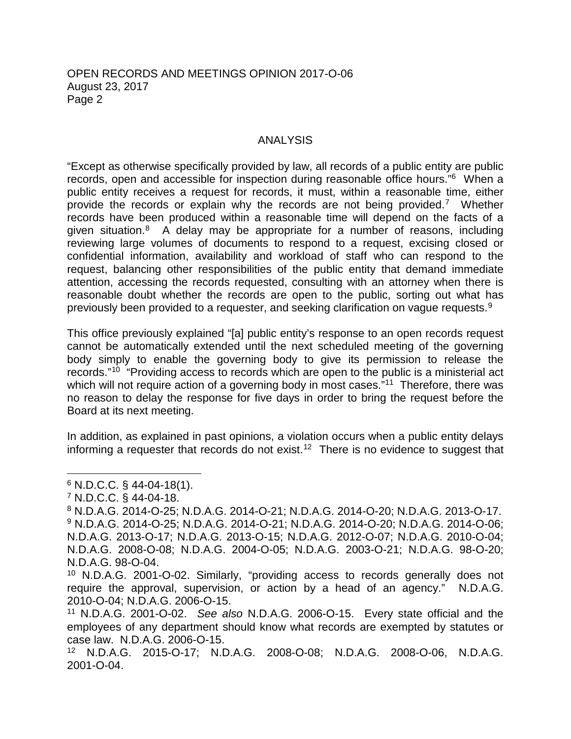#### OPEN RECORDS AND MEETINGS OPINION 2017-O-06 August 23, 2017 Page 2

#### ANALYSIS

"Except as otherwise specifically provided by law, all records of a public entity are public records, open and accessible for inspection during reasonable office hours."[6](#page-1-0) When a public entity receives a request for records, it must, within a reasonable time, either provide the records or explain why the records are not being provided.[7](#page-1-1) Whether records have been produced within a reasonable time will depend on the facts of a given situation.<sup>[8](#page-1-2)</sup> A delay may be appropriate for a number of reasons, including reviewing large volumes of documents to respond to a request, excising closed or confidential information, availability and workload of staff who can respond to the request, balancing other responsibilities of the public entity that demand immediate attention, accessing the records requested, consulting with an attorney when there is reasonable doubt whether the records are open to the public, sorting out what has previously been provided to a requester, and seeking clarification on vague requests.<sup>[9](#page-1-3)</sup>

This office previously explained "[a] public entity's response to an open records request cannot be automatically extended until the next scheduled meeting of the governing body simply to enable the governing body to give its permission to release the records."[10](#page-1-4) "Providing access to records which are open to the public is a ministerial act which will not require action of a governing body in most cases."<sup>[11](#page-1-5)</sup> Therefore, there was no reason to delay the response for five days in order to bring the request before the Board at its next meeting.

In addition, as explained in past opinions, a violation occurs when a public entity delays informing a requester that records do not exist.<sup>[12](#page-1-6)</sup> There is no evidence to suggest that

- <span id="page-1-3"></span><span id="page-1-2"></span><sup>8</sup> N.D.A.G. 2014-O-25; N.D.A.G. 2014-O-21; N.D.A.G. 2014-O-20; N.D.A.G. 2013-O-17. <sup>9</sup> N.D.A.G. 2014-O-25; N.D.A.G. 2014-O-21; N.D.A.G. 2014-O-20; N.D.A.G. 2014-O-06; N.D.A.G. 2013-O-17; N.D.A.G. 2013-O-15; N.D.A.G. 2012-O-07; N.D.A.G. 2010-O-04; N.D.A.G. 2008-O-08; N.D.A.G. 2004-O-05; N.D.A.G. 2003-O-21; N.D.A.G. 98-O-20; N.D.A.G. 98-O-04.
- <span id="page-1-4"></span><sup>10</sup> N.D.A.G. 2001-O-02. Similarly, "providing access to records generally does not require the approval, supervision, or action by a head of an agency." N.D.A.G. 2010-O-04; N.D.A.G. 2006-O-15.
- <span id="page-1-5"></span><sup>11</sup> N.D.A.G. 2001-O-02. *See also* N.D.A.G. 2006-O-15. Every state official and the employees of any department should know what records are exempted by statutes or case law. N.D.A.G. 2006-O-15.
- <span id="page-1-6"></span><sup>12</sup> N.D.A.G. 2015-O-17; N.D.A.G. 2008-O-08; N.D.A.G. 2008-O-06, N.D.A.G. 2001-O-04.

<span id="page-1-0"></span> <sup>6</sup> N.D.C.C. § 44-04-18(1).

<span id="page-1-1"></span><sup>7</sup> N.D.C.C. § 44-04-18.